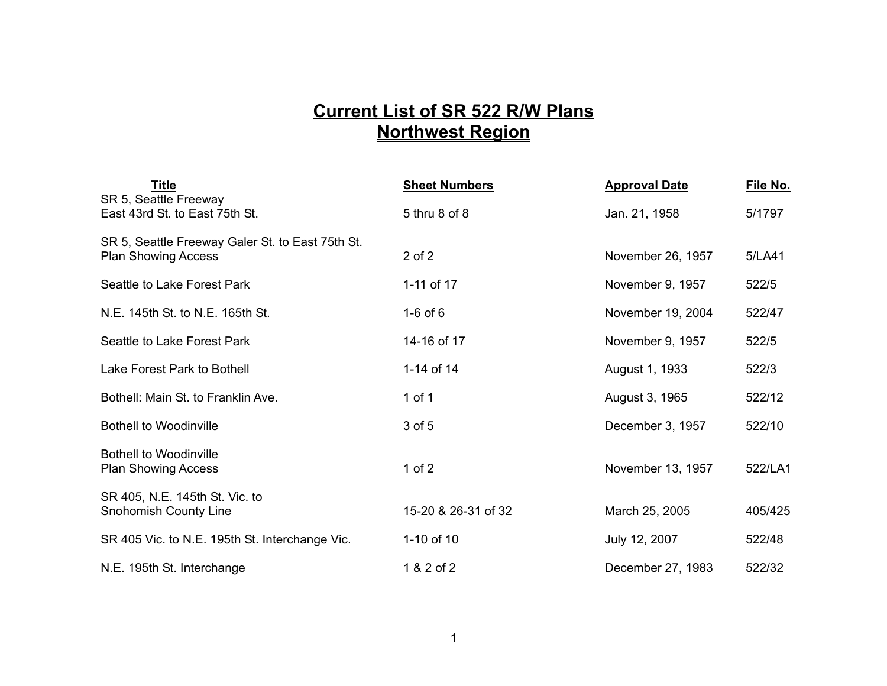## **Current List of SR 522 R/W Plans Northwest Region**

| <b>Title</b><br>SR 5, Seattle Freeway                                          | <b>Sheet Numbers</b> | <b>Approval Date</b> | File No. |
|--------------------------------------------------------------------------------|----------------------|----------------------|----------|
| East 43rd St. to East 75th St.                                                 | 5 thru 8 of 8        | Jan. 21, 1958        | 5/1797   |
| SR 5, Seattle Freeway Galer St. to East 75th St.<br><b>Plan Showing Access</b> | $2$ of $2$           | November 26, 1957    | 5/LA41   |
| Seattle to Lake Forest Park                                                    | 1-11 of 17           | November 9, 1957     | 522/5    |
| N.E. 145th St. to N.E. 165th St.                                               | $1-6$ of $6$         | November 19, 2004    | 522/47   |
| Seattle to Lake Forest Park                                                    | 14-16 of 17          | November 9, 1957     | 522/5    |
| Lake Forest Park to Bothell                                                    | 1-14 of 14           | August 1, 1933       | 522/3    |
| Bothell: Main St. to Franklin Ave.                                             | 1 of 1               | August 3, 1965       | 522/12   |
| <b>Bothell to Woodinville</b>                                                  | 3 of 5               | December 3, 1957     | 522/10   |
| <b>Bothell to Woodinville</b><br><b>Plan Showing Access</b>                    | $1$ of $2$           | November 13, 1957    | 522/LA1  |
| SR 405, N.E. 145th St. Vic. to<br><b>Snohomish County Line</b>                 | 15-20 & 26-31 of 32  | March 25, 2005       | 405/425  |
| SR 405 Vic. to N.E. 195th St. Interchange Vic.                                 | 1-10 of 10           | July 12, 2007        | 522/48   |
| N.E. 195th St. Interchange                                                     | 1 & 2 of 2           | December 27, 1983    | 522/32   |